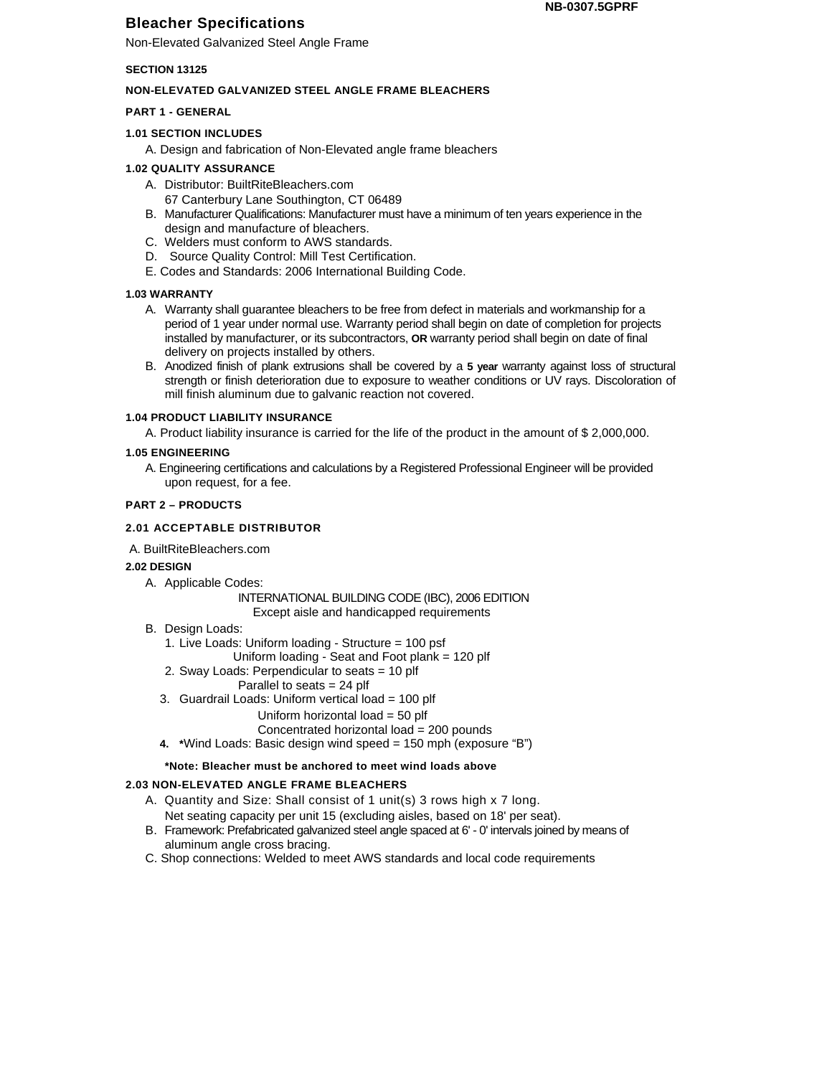# **Bleacher Specifications**

Non-Elevated Galvanized Steel Angle Frame

### **SECTION 13125**

# **NON-ELEVATED GALVANIZED STEEL ANGLE FRAME BLEACHERS**

## **PART 1 - GENERAL**

### **1.01 SECTION INCLUDES**

A. Design and fabrication of Non-Elevated angle frame bleachers

### **1.02 QUALITY ASSURANCE**

- A. Distributor: BuiltRiteBleachers.com
- 67 Canterbury Lane Southington, CT 06489
- B. Manufacturer Qualifications: Manufacturer must have a minimum of ten years experience in the design and manufacture of bleachers.
- C. Welders must conform to AWS standards.
- D. Source Quality Control: Mill Test Certification.
- E. Codes and Standards: 2006 International Building Code.

### **1.03 WARRANTY**

- A. Warranty shall guarantee bleachers to be free from defect in materials and workmanship for a period of 1 year under normal use. Warranty period shall begin on date of completion for projects installed by manufacturer, or its subcontractors, **OR** warranty period shall begin on date of final delivery on projects installed by others.
- B. Anodized finish of plank extrusions shall be covered by a **5 year** warranty against loss of structural strength or finish deterioration due to exposure to weather conditions or UV rays. Discoloration of mill finish aluminum due to galvanic reaction not covered.

#### **1.04 PRODUCT LIABILITY INSURANCE**

A. Product liability insurance is carried for the life of the product in the amount of \$ 2,000,000.

### **1.05 ENGINEERING**

A. Engineering certifications and calculations by a Registered Professional Engineer will be provided upon request, for a fee.

#### **PART 2 – PRODUCTS**

# **2.01 ACCEPTABLE DISTRIBUTOR**

A. BuiltRiteBleachers.com

#### **2.02 DESIGN**

A. Applicable Codes:

INTERNATIONAL BUILDING CODE (IBC), 2006 EDITION Except aisle and handicapped requirements

- B. Design Loads:
	- 1. Live Loads: Uniform loading Structure = 100 psf
		- Uniform loading Seat and Foot plank = 120 plf
	- 2. Sway Loads: Perpendicular to seats = 10 plf
		- Parallel to seats = 24 plf
	- 3. Guardrail Loads: Uniform vertical load = 100 plf

# Uniform horizontal load = 50 plf

- Concentrated horizontal load = 200 pounds
- **4. \***Wind Loads: Basic design wind speed = 150 mph (exposure "B")

#### **\*Note: Bleacher must be anchored to meet wind loads above**

# **2.03 NON-ELEVATED ANGLE FRAME BLEACHERS**

- A. Quantity and Size: Shall consist of 1 unit(s) 3 rows high x 7 long.
	- Net seating capacity per unit 15 (excluding aisles, based on 18' per seat).
- B. Framework: Prefabricated galvanized steel angle spaced at 6' 0' intervals joined by means of aluminum angle cross bracing.
- C. Shop connections: Welded to meet AWS standards and local code requirements